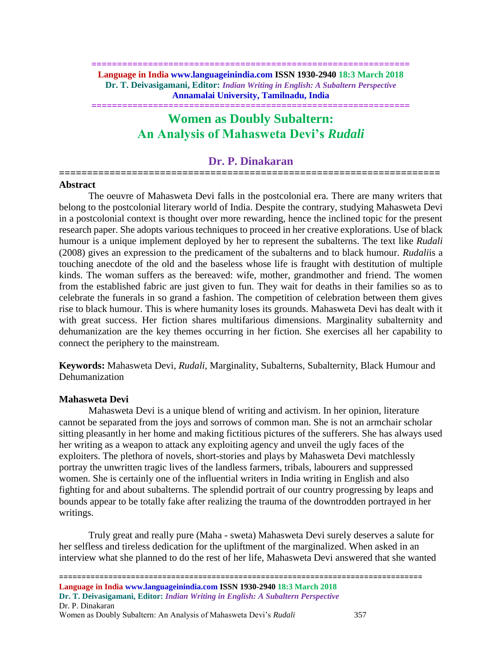**============================================================== Language in India www.languageinindia.com ISSN 1930-2940 18:3 March 2018 Dr. T. Deivasigamani, Editor:** *Indian Writing in English: A Subaltern Perspective* **Annamalai University, Tamilnadu, India**

# **Women as Doubly Subaltern: An Analysis of Mahasweta Devi's** *Rudali*

**==============================================================**

# **Dr. P. Dinakaran ====================================================================**

# **Abstract**

The oeuvre of Mahasweta Devi falls in the postcolonial era. There are many writers that belong to the postcolonial literary world of India. Despite the contrary, studying Mahasweta Devi in a postcolonial context is thought over more rewarding, hence the inclined topic for the present research paper. She adopts various techniques to proceed in her creative explorations. Use of black humour is a unique implement deployed by her to represent the subalterns. The text like *Rudali* (2008) gives an expression to the predicament of the subalterns and to black humour. *Rudali*is a touching anecdote of the old and the baseless whose life is fraught with destitution of multiple kinds. The woman suffers as the bereaved: wife, mother, grandmother and friend. The women from the established fabric are just given to fun. They wait for deaths in their families so as to celebrate the funerals in so grand a fashion. The competition of celebration between them gives rise to black humour. This is where humanity loses its grounds. Mahasweta Devi has dealt with it with great success. Her fiction shares multifarious dimensions. Marginality subalternity and dehumanization are the key themes occurring in her fiction. She exercises all her capability to connect the periphery to the mainstream.

**Keywords:** Mahasweta Devi, *Rudali,* Marginality, Subalterns, Subalternity, Black Humour and Dehumanization

## **Mahasweta Devi**

 Mahasweta Devi is a unique blend of writing and activism. In her opinion, literature cannot be separated from the joys and sorrows of common man. She is not an armchair scholar sitting pleasantly in her home and making fictitious pictures of the sufferers. She has always used her writing as a weapon to attack any exploiting agency and unveil the ugly faces of the exploiters. The plethora of novels, short-stories and plays by Mahasweta Devi matchlessly portray the unwritten tragic lives of the landless farmers, tribals, labourers and suppressed women. She is certainly one of the influential writers in India writing in English and also fighting for and about subalterns. The splendid portrait of our country progressing by leaps and bounds appear to be totally fake after realizing the trauma of the downtrodden portrayed in her writings.

Truly great and really pure (Maha - sweta) Mahasweta Devi surely deserves a salute for her selfless and tireless dedication for the upliftment of the marginalized. When asked in an interview what she planned to do the rest of her life, Mahasweta Devi answered that she wanted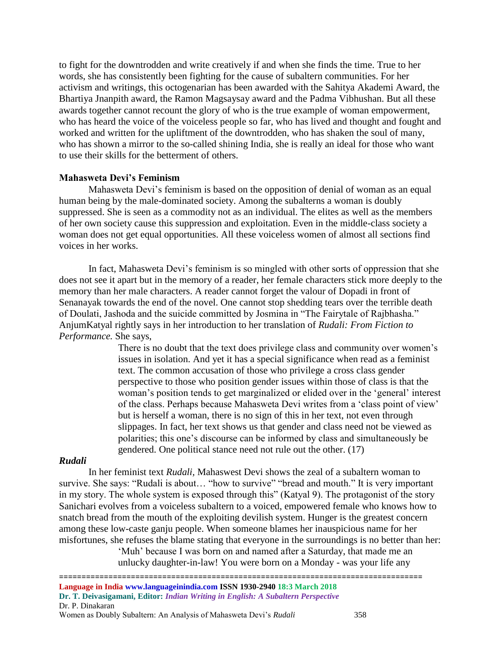to fight for the downtrodden and write creatively if and when she finds the time. True to her words, she has consistently been fighting for the cause of subaltern communities. For her activism and writings, this octogenarian has been awarded with the Sahitya Akademi Award, the Bhartiya Jnanpith award, the Ramon Magsaysay award and the Padma Vibhushan. But all these awards together cannot recount the glory of who is the true example of woman empowerment, who has heard the voice of the voiceless people so far, who has lived and thought and fought and worked and written for the upliftment of the downtrodden, who has shaken the soul of many, who has shown a mirror to the so-called shining India, she is really an ideal for those who want to use their skills for the betterment of others.

## **Mahasweta Devi's Feminism**

Mahasweta Devi's feminism is based on the opposition of denial of woman as an equal human being by the male-dominated society. Among the subalterns a woman is doubly suppressed. She is seen as a commodity not as an individual. The elites as well as the members of her own society cause this suppression and exploitation. Even in the middle-class society a woman does not get equal opportunities. All these voiceless women of almost all sections find voices in her works.

In fact, Mahasweta Devi's feminism is so mingled with other sorts of oppression that she does not see it apart but in the memory of a reader, her female characters stick more deeply to the memory than her male characters. A reader cannot forget the valour of Dopadi in front of Senanayak towards the end of the novel. One cannot stop shedding tears over the terrible death of Doulati, Jashoda and the suicide committed by Josmina in "The Fairytale of Rajbhasha." AnjumKatyal rightly says in her introduction to her translation of *Rudali: From Fiction to Performance.* She says,

> There is no doubt that the text does privilege class and community over women's issues in isolation. And yet it has a special significance when read as a feminist text. The common accusation of those who privilege a cross class gender perspective to those who position gender issues within those of class is that the woman's position tends to get marginalized or elided over in the 'general' interest of the class. Perhaps because Mahasweta Devi writes from a 'class point of view' but is herself a woman, there is no sign of this in her text, not even through slippages. In fact, her text shows us that gender and class need not be viewed as polarities; this one's discourse can be informed by class and simultaneously be gendered. One political stance need not rule out the other. (17)

#### *Rudali*

In her feminist text *Rudali,* Mahaswest Devi shows the zeal of a subaltern woman to survive. She says: "Rudali is about… "how to survive" "bread and mouth." It is very important in my story. The whole system is exposed through this" (Katyal 9). The protagonist of the story Sanichari evolves from a voiceless subaltern to a voiced, empowered female who knows how to snatch bread from the mouth of the exploiting devilish system. Hunger is the greatest concern among these low-caste ganju people. When someone blames her inauspicious name for her misfortunes, she refuses the blame stating that everyone in the surroundings is no better than her: 'Muh' because I was born on and named after a Saturday, that made me an

unlucky daughter-in-law! You were born on a Monday - was your life any

<sup>=================================================================================</sup> **Language in India www.languageinindia.com ISSN 1930-2940 18:3 March 2018 Dr. T. Deivasigamani, Editor:** *Indian Writing in English: A Subaltern Perspective* Dr. P. Dinakaran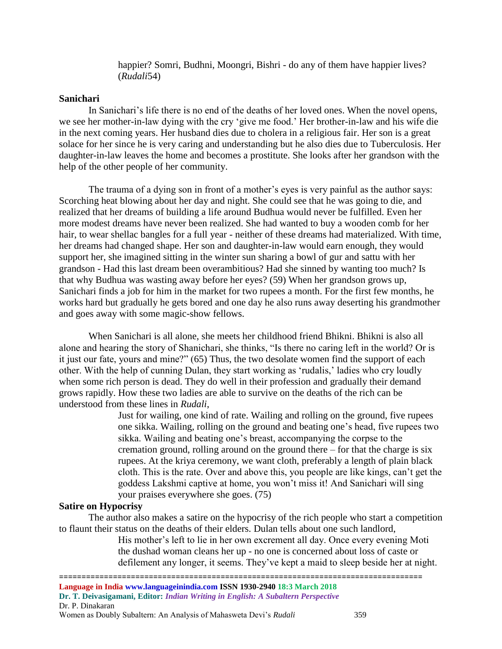happier? Somri, Budhni, Moongri, Bishri - do any of them have happier lives? (*Rudali*54)

### **Sanichari**

In Sanichari's life there is no end of the deaths of her loved ones. When the novel opens, we see her mother-in-law dying with the cry 'give me food.' Her brother-in-law and his wife die in the next coming years. Her husband dies due to cholera in a religious fair. Her son is a great solace for her since he is very caring and understanding but he also dies due to Tuberculosis. Her daughter-in-law leaves the home and becomes a prostitute. She looks after her grandson with the help of the other people of her community.

The trauma of a dying son in front of a mother's eyes is very painful as the author says: Scorching heat blowing about her day and night. She could see that he was going to die, and realized that her dreams of building a life around Budhua would never be fulfilled. Even her more modest dreams have never been realized. She had wanted to buy a wooden comb for her hair, to wear shellac bangles for a full year - neither of these dreams had materialized. With time, her dreams had changed shape. Her son and daughter-in-law would earn enough, they would support her, she imagined sitting in the winter sun sharing a bowl of gur and sattu with her grandson - Had this last dream been overambitious? Had she sinned by wanting too much? Is that why Budhua was wasting away before her eyes? (59) When her grandson grows up, Sanichari finds a job for him in the market for two rupees a month. For the first few months, he works hard but gradually he gets bored and one day he also runs away deserting his grandmother and goes away with some magic-show fellows.

When Sanichari is all alone, she meets her childhood friend Bhikni. Bhikni is also all alone and hearing the story of Shanichari, she thinks, "Is there no caring left in the world? Or is it just our fate, yours and mine?" (65) Thus, the two desolate women find the support of each other. With the help of cunning Dulan, they start working as 'rudalis,' ladies who cry loudly when some rich person is dead. They do well in their profession and gradually their demand grows rapidly. How these two ladies are able to survive on the deaths of the rich can be understood from these lines in *Rudali*,

> Just for wailing, one kind of rate. Wailing and rolling on the ground, five rupees one sikka. Wailing, rolling on the ground and beating one's head, five rupees two sikka. Wailing and beating one's breast, accompanying the corpse to the cremation ground, rolling around on the ground there – for that the charge is six rupees. At the kriya ceremony, we want cloth, preferably a length of plain black cloth. This is the rate. Over and above this, you people are like kings, can't get the goddess Lakshmi captive at home, you won't miss it! And Sanichari will sing your praises everywhere she goes. (75)

# **Satire on Hypocrisy**

The author also makes a satire on the hypocrisy of the rich people who start a competition to flaunt their status on the deaths of their elders. Dulan tells about one such landlord,

> His mother's left to lie in her own excrement all day. Once every evening Moti the dushad woman cleans her up - no one is concerned about loss of caste or defilement any longer, it seems. They've kept a maid to sleep beside her at night.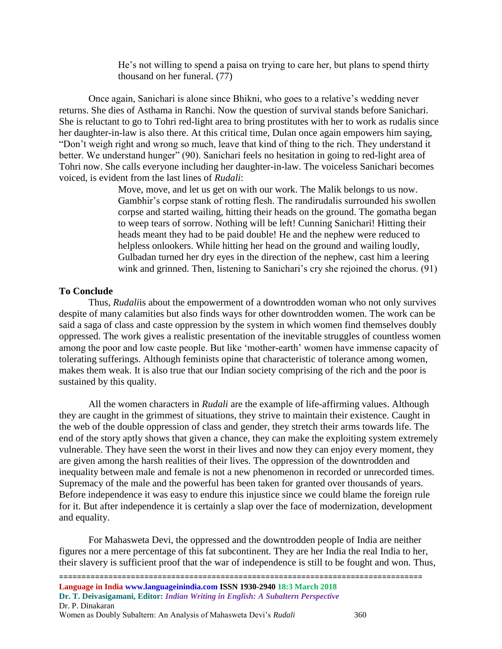He's not willing to spend a paisa on trying to care her, but plans to spend thirty thousand on her funeral. (77)

Once again, Sanichari is alone since Bhikni, who goes to a relative's wedding never returns. She dies of Asthama in Ranchi. Now the question of survival stands before Sanichari. She is reluctant to go to Tohri red-light area to bring prostitutes with her to work as rudalis since her daughter-in-law is also there. At this critical time, Dulan once again empowers him saying, "Don't weigh right and wrong so much, leave that kind of thing to the rich. They understand it better. We understand hunger" (90). Sanichari feels no hesitation in going to red-light area of Tohri now. She calls everyone including her daughter-in-law. The voiceless Sanichari becomes voiced, is evident from the last lines of *Rudali*:

> Move, move, and let us get on with our work. The Malik belongs to us now. Gambhir's corpse stank of rotting flesh. The randirudalis surrounded his swollen corpse and started wailing, hitting their heads on the ground. The gomatha began to weep tears of sorrow. Nothing will be left! Cunning Sanichari! Hitting their heads meant they had to be paid double! He and the nephew were reduced to helpless onlookers. While hitting her head on the ground and wailing loudly, Gulbadan turned her dry eyes in the direction of the nephew, cast him a leering wink and grinned. Then, listening to Sanichari's cry she rejoined the chorus. (91)

# **To Conclude**

Thus, *Rudali*is about the empowerment of a downtrodden woman who not only survives despite of many calamities but also finds ways for other downtrodden women. The work can be said a saga of class and caste oppression by the system in which women find themselves doubly oppressed. The work gives a realistic presentation of the inevitable struggles of countless women among the poor and low caste people. But like 'mother-earth' women have immense capacity of tolerating sufferings. Although feminists opine that characteristic of tolerance among women, makes them weak. It is also true that our Indian society comprising of the rich and the poor is sustained by this quality.

All the women characters in *Rudali* are the example of life-affirming values. Although they are caught in the grimmest of situations, they strive to maintain their existence. Caught in the web of the double oppression of class and gender, they stretch their arms towards life. The end of the story aptly shows that given a chance, they can make the exploiting system extremely vulnerable. They have seen the worst in their lives and now they can enjoy every moment, they are given among the harsh realities of their lives. The oppression of the downtrodden and inequality between male and female is not a new phenomenon in recorded or unrecorded times. Supremacy of the male and the powerful has been taken for granted over thousands of years. Before independence it was easy to endure this injustice since we could blame the foreign rule for it. But after independence it is certainly a slap over the face of modernization, development and equality.

For Mahasweta Devi, the oppressed and the downtrodden people of India are neither figures nor a mere percentage of this fat subcontinent. They are her India the real India to her, their slavery is sufficient proof that the war of independence is still to be fought and won. Thus,